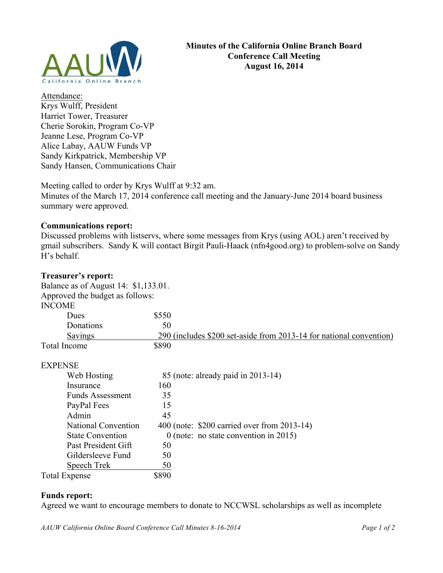

Attendance: Krys Wulff, President Harriet Tower, Treasurer Cherie Sorokin, Program Co-VP Jeanne Lese, Program Co-VP Alice Labay, AAUW Funds VP Sandy Kirkpatrick, Membership VP Sandy Hansen, Communications Chair

Meeting called to order by Krys Wulff at 9:32 am. Minutes of the March 17, 2014 conference call meeting and the January-June 2014 board business summary were approved.

### **Communications report:**

Discussed problems with listservs, where some messages from Krys (using AOL) aren't received by gmail subscribers. Sandy K will contact Birgit Pauli-Haack (nfn4good.org) to problem-solve on Sandy H's behalf.

## **Treasurer's report:**

| rreasarer s'report:                                                     |                                                                     |
|-------------------------------------------------------------------------|---------------------------------------------------------------------|
| Balance as of August 14: \$1,133.01.<br>Approved the budget as follows: |                                                                     |
|                                                                         |                                                                     |
| Dues                                                                    | \$550                                                               |
| Donations                                                               | 50                                                                  |
| Savings                                                                 | 290 (includes \$200 set-aside from 2013-14 for national convention) |
| <b>Total Income</b>                                                     | \$890                                                               |
| <b>EXPENSE</b>                                                          |                                                                     |
| Web Hosting                                                             | 85 (note: already paid in 2013-14)                                  |
| Insurance                                                               | 160                                                                 |
| <b>Funds Assessment</b>                                                 | 35                                                                  |
| PayPal Fees                                                             | 15                                                                  |
| Admin                                                                   | 45                                                                  |
| <b>National Convention</b>                                              | 400 (note: \$200 carried over from 2013-14)                         |
| <b>State Convention</b>                                                 | $0$ (note: no state convention in 2015)                             |
| Past President Gift                                                     | 50                                                                  |
| Gildersleeve Fund                                                       | 50                                                                  |

# Total Expense \$890 **Funds report:**

Agreed we want to encourage members to donate to NCCWSL scholarships as well as incomplete

*AAUW California Online Board Conference Call Minutes 8-16-2014 Page 1 of 2*

Speech Trek 50